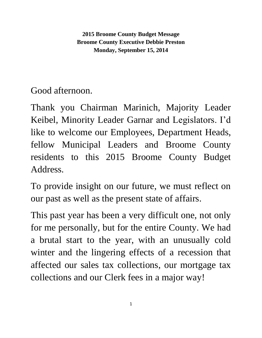**2015 Broome County Budget Message Broome County Executive Debbie Preston Monday, September 15, 2014**

Good afternoon.

Thank you Chairman Marinich, Majority Leader Keibel, Minority Leader Garnar and Legislators. I'd like to welcome our Employees, Department Heads, fellow Municipal Leaders and Broome County residents to this 2015 Broome County Budget Address.

To provide insight on our future, we must reflect on our past as well as the present state of affairs.

This past year has been a very difficult one, not only for me personally, but for the entire County. We had a brutal start to the year, with an unusually cold winter and the lingering effects of a recession that affected our sales tax collections, our mortgage tax collections and our Clerk fees in a major way!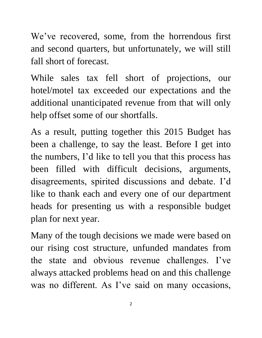We've recovered, some, from the horrendous first and second quarters, but unfortunately, we will still fall short of forecast.

While sales tax fell short of projections, our hotel/motel tax exceeded our expectations and the additional unanticipated revenue from that will only help offset some of our shortfalls.

As a result, putting together this 2015 Budget has been a challenge, to say the least. Before I get into the numbers, I'd like to tell you that this process has been filled with difficult decisions, arguments, disagreements, spirited discussions and debate. I'd like to thank each and every one of our department heads for presenting us with a responsible budget plan for next year.

Many of the tough decisions we made were based on our rising cost structure, unfunded mandates from the state and obvious revenue challenges. I've always attacked problems head on and this challenge was no different. As I've said on many occasions,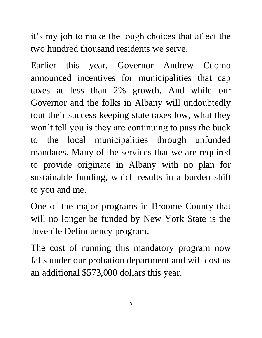it's my job to make the tough choices that affect the two hundred thousand residents we serve.

Earlier this year, Governor Andrew Cuomo announced incentives for municipalities that cap taxes at less than 2% growth. And while our Governor and the folks in Albany will undoubtedly tout their success keeping state taxes low, what they won't tell you is they are continuing to pass the buck to the local municipalities through unfunded mandates. Many of the services that we are required to provide originate in Albany with no plan for sustainable funding, which results in a burden shift to you and me.

One of the major programs in Broome County that will no longer be funded by New York State is the Juvenile Delinquency program.

The cost of running this mandatory program now falls under our probation department and will cost us an additional \$573,000 dollars this year.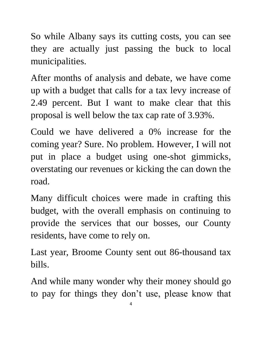So while Albany says its cutting costs, you can see they are actually just passing the buck to local municipalities.

After months of analysis and debate, we have come up with a budget that calls for a tax levy increase of 2.49 percent. But I want to make clear that this proposal is well below the tax cap rate of 3.93%.

Could we have delivered a 0% increase for the coming year? Sure. No problem. However, I will not put in place a budget using one-shot gimmicks, overstating our revenues or kicking the can down the road.

Many difficult choices were made in crafting this budget, with the overall emphasis on continuing to provide the services that our bosses, our County residents, have come to rely on.

Last year, Broome County sent out 86-thousand tax bills.

And while many wonder why their money should go to pay for things they don't use, please know that

4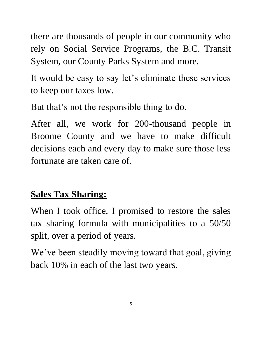there are thousands of people in our community who rely on Social Service Programs, the B.C. Transit System, our County Parks System and more.

It would be easy to say let's eliminate these services to keep our taxes low.

But that's not the responsible thing to do.

After all, we work for 200-thousand people in Broome County and we have to make difficult decisions each and every day to make sure those less fortunate are taken care of.

### **Sales Tax Sharing:**

When I took office, I promised to restore the sales tax sharing formula with municipalities to a 50/50 split, over a period of years.

We've been steadily moving toward that goal, giving back 10% in each of the last two years.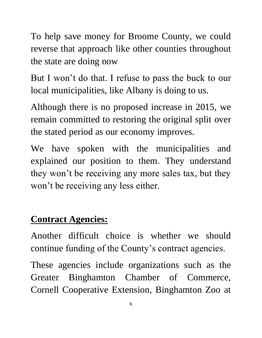To help save money for Broome County, we could reverse that approach like other counties throughout the state are doing now

But I won't do that. I refuse to pass the buck to our local municipalities, like Albany is doing to us.

Although there is no proposed increase in 2015, we remain committed to restoring the original split over the stated period as our economy improves.

We have spoken with the municipalities and explained our position to them. They understand they won't be receiving any more sales tax, but they won't be receiving any less either.

#### **Contract Agencies:**

Another difficult choice is whether we should continue funding of the County's contract agencies.

These agencies include organizations such as the Greater Binghamton Chamber of Commerce, Cornell Cooperative Extension, Binghamton Zoo at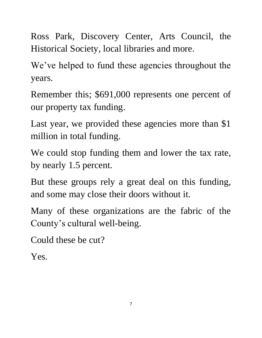Ross Park, Discovery Center, Arts Council, the Historical Society, local libraries and more.

We've helped to fund these agencies throughout the years.

Remember this; \$691,000 represents one percent of our property tax funding.

Last year, we provided these agencies more than \$1 million in total funding.

We could stop funding them and lower the tax rate, by nearly 1.5 percent.

But these groups rely a great deal on this funding, and some may close their doors without it.

Many of these organizations are the fabric of the County's cultural well-being.

Could these be cut?

Yes.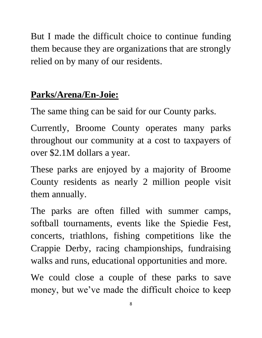But I made the difficult choice to continue funding them because they are organizations that are strongly relied on by many of our residents.

# **Parks/Arena/En-Joie:**

The same thing can be said for our County parks.

Currently, Broome County operates many parks throughout our community at a cost to taxpayers of over \$2.1M dollars a year.

These parks are enjoyed by a majority of Broome County residents as nearly 2 million people visit them annually.

The parks are often filled with summer camps, softball tournaments, events like the Spiedie Fest, concerts, triathlons, fishing competitions like the Crappie Derby, racing championships, fundraising walks and runs, educational opportunities and more.

We could close a couple of these parks to save money, but we've made the difficult choice to keep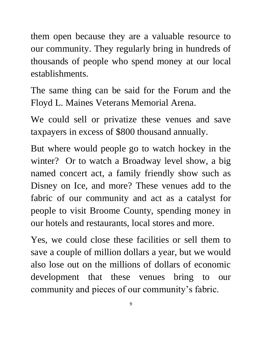them open because they are a valuable resource to our community. They regularly bring in hundreds of thousands of people who spend money at our local establishments.

The same thing can be said for the Forum and the Floyd L. Maines Veterans Memorial Arena.

We could sell or privatize these venues and save taxpayers in excess of \$800 thousand annually.

But where would people go to watch hockey in the winter? Or to watch a Broadway level show, a big named concert act, a family friendly show such as Disney on Ice, and more? These venues add to the fabric of our community and act as a catalyst for people to visit Broome County, spending money in our hotels and restaurants, local stores and more.

Yes, we could close these facilities or sell them to save a couple of million dollars a year, but we would also lose out on the millions of dollars of economic development that these venues bring to our community and pieces of our community's fabric.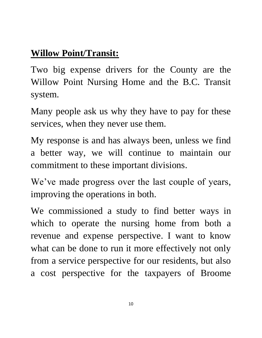## **Willow Point/Transit:**

Two big expense drivers for the County are the Willow Point Nursing Home and the B.C. Transit system.

Many people ask us why they have to pay for these services, when they never use them.

My response is and has always been, unless we find a better way, we will continue to maintain our commitment to these important divisions.

We've made progress over the last couple of years, improving the operations in both.

We commissioned a study to find better ways in which to operate the nursing home from both a revenue and expense perspective. I want to know what can be done to run it more effectively not only from a service perspective for our residents, but also a cost perspective for the taxpayers of Broome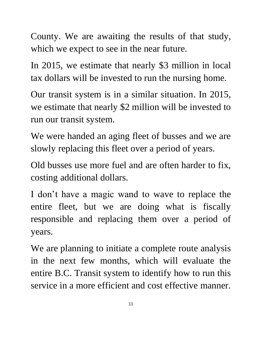County. We are awaiting the results of that study, which we expect to see in the near future.

In 2015, we estimate that nearly \$3 million in local tax dollars will be invested to run the nursing home.

Our transit system is in a similar situation. In 2015, we estimate that nearly \$2 million will be invested to run our transit system.

We were handed an aging fleet of busses and we are slowly replacing this fleet over a period of years.

Old busses use more fuel and are often harder to fix, costing additional dollars.

I don't have a magic wand to wave to replace the entire fleet, but we are doing what is fiscally responsible and replacing them over a period of years.

We are planning to initiate a complete route analysis in the next few months, which will evaluate the entire B.C. Transit system to identify how to run this service in a more efficient and cost effective manner.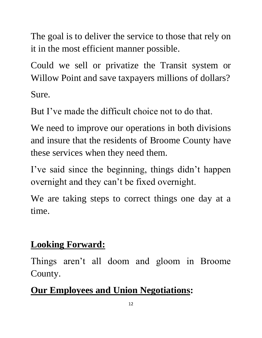The goal is to deliver the service to those that rely on it in the most efficient manner possible.

Could we sell or privatize the Transit system or Willow Point and save taxpayers millions of dollars? Sure.

But I've made the difficult choice not to do that.

We need to improve our operations in both divisions and insure that the residents of Broome County have these services when they need them.

I've said since the beginning, things didn't happen overnight and they can't be fixed overnight.

We are taking steps to correct things one day at a time.

#### **Looking Forward:**

Things aren't all doom and gloom in Broome County.

### **Our Employees and Union Negotiations:**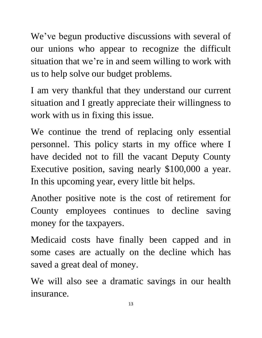We've begun productive discussions with several of our unions who appear to recognize the difficult situation that we're in and seem willing to work with us to help solve our budget problems.

I am very thankful that they understand our current situation and I greatly appreciate their willingness to work with us in fixing this issue.

We continue the trend of replacing only essential personnel. This policy starts in my office where I have decided not to fill the vacant Deputy County Executive position, saving nearly \$100,000 a year. In this upcoming year, every little bit helps.

Another positive note is the cost of retirement for County employees continues to decline saving money for the taxpayers.

Medicaid costs have finally been capped and in some cases are actually on the decline which has saved a great deal of money.

We will also see a dramatic savings in our health insurance.

13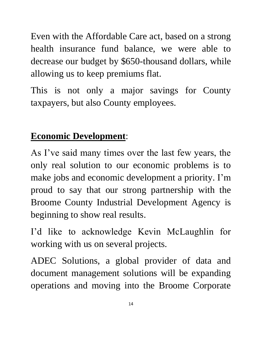Even with the Affordable Care act, based on a strong health insurance fund balance, we were able to decrease our budget by \$650-thousand dollars, while allowing us to keep premiums flat.

This is not only a major savings for County taxpayers, but also County employees.

#### **Economic Development**:

As I've said many times over the last few years, the only real solution to our economic problems is to make jobs and economic development a priority. I'm proud to say that our strong partnership with the Broome County Industrial Development Agency is beginning to show real results.

I'd like to acknowledge Kevin McLaughlin for working with us on several projects.

ADEC Solutions, a global provider of data and document management solutions will be expanding operations and moving into the Broome Corporate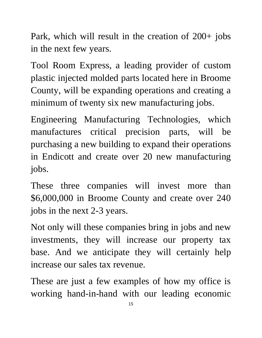Park, which will result in the creation of 200+ jobs in the next few years.

Tool Room Express, a leading provider of custom plastic injected molded parts located here in Broome County, will be expanding operations and creating a minimum of twenty six new manufacturing jobs.

Engineering Manufacturing Technologies, which manufactures critical precision parts, will be purchasing a new building to expand their operations in Endicott and create over 20 new manufacturing jobs.

These three companies will invest more than \$6,000,000 in Broome County and create over 240 jobs in the next 2-3 years.

Not only will these companies bring in jobs and new investments, they will increase our property tax base. And we anticipate they will certainly help increase our sales tax revenue.

These are just a few examples of how my office is working hand-in-hand with our leading economic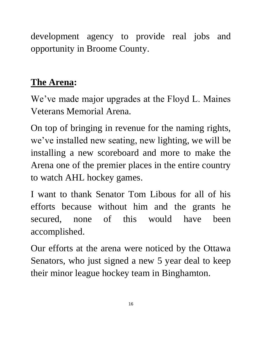development agency to provide real jobs and opportunity in Broome County.

#### **The Arena:**

We've made major upgrades at the Floyd L. Maines Veterans Memorial Arena.

On top of bringing in revenue for the naming rights, we've installed new seating, new lighting, we will be installing a new scoreboard and more to make the Arena one of the premier places in the entire country to watch AHL hockey games.

I want to thank Senator Tom Libous for all of his efforts because without him and the grants he secured, none of this would have been accomplished.

Our efforts at the arena were noticed by the Ottawa Senators, who just signed a new 5 year deal to keep their minor league hockey team in Binghamton.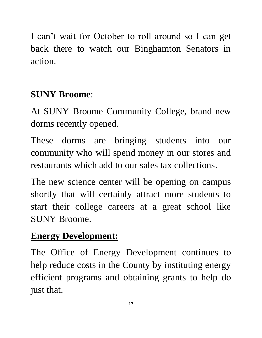I can't wait for October to roll around so I can get back there to watch our Binghamton Senators in action.

# **SUNY Broome**:

At SUNY Broome Community College, brand new dorms recently opened.

These dorms are bringing students into our community who will spend money in our stores and restaurants which add to our sales tax collections.

The new science center will be opening on campus shortly that will certainly attract more students to start their college careers at a great school like SUNY Broome.

# **Energy Development:**

The Office of Energy Development continues to help reduce costs in the County by instituting energy efficient programs and obtaining grants to help do just that.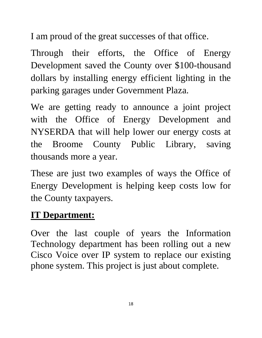I am proud of the great successes of that office.

Through their efforts, the Office of Energy Development saved the County over \$100-thousand dollars by installing energy efficient lighting in the parking garages under Government Plaza.

We are getting ready to announce a joint project with the Office of Energy Development and NYSERDA that will help lower our energy costs at the Broome County Public Library, saving thousands more a year.

These are just two examples of ways the Office of Energy Development is helping keep costs low for the County taxpayers.

#### **IT Department:**

Over the last couple of years the Information Technology department has been rolling out a new Cisco Voice over IP system to replace our existing phone system. This project is just about complete.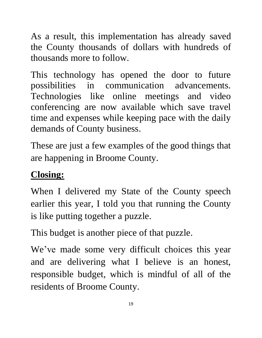As a result, this implementation has already saved the County thousands of dollars with hundreds of thousands more to follow.

This technology has opened the door to future possibilities in communication advancements. Technologies like online meetings and video conferencing are now available which save travel time and expenses while keeping pace with the daily demands of County business.

These are just a few examples of the good things that are happening in Broome County.

### **Closing:**

When I delivered my State of the County speech earlier this year, I told you that running the County is like putting together a puzzle.

This budget is another piece of that puzzle.

We've made some very difficult choices this year and are delivering what I believe is an honest, responsible budget, which is mindful of all of the residents of Broome County.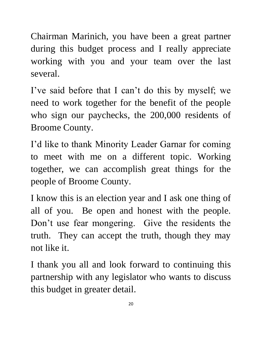Chairman Marinich, you have been a great partner during this budget process and I really appreciate working with you and your team over the last several.

I've said before that I can't do this by myself; we need to work together for the benefit of the people who sign our paychecks, the 200,000 residents of Broome County.

I'd like to thank Minority Leader Garnar for coming to meet with me on a different topic. Working together, we can accomplish great things for the people of Broome County.

I know this is an election year and I ask one thing of all of you. Be open and honest with the people. Don't use fear mongering. Give the residents the truth. They can accept the truth, though they may not like it.

I thank you all and look forward to continuing this partnership with any legislator who wants to discuss this budget in greater detail.